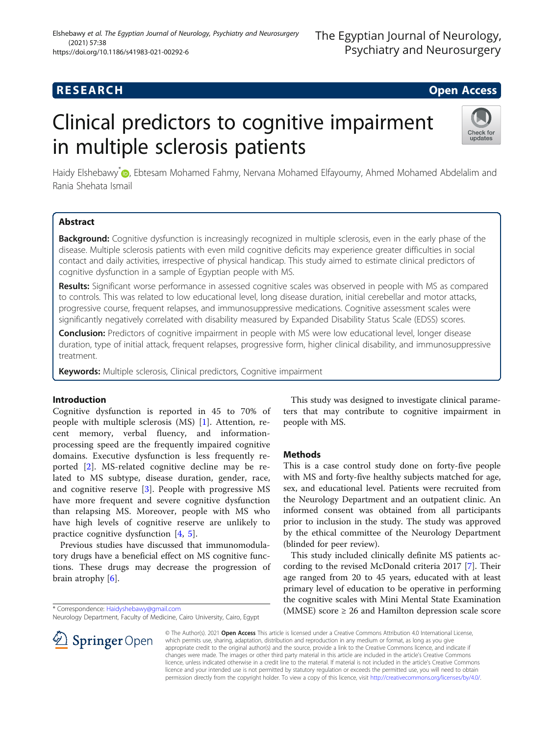## **RESEARCH CHE Open Access**

# Clinical predictors to cognitive impairment in multiple sclerosis patients



Haidy Elshebawy<sup>[\\*](http://orcid.org/0000-0001-7603-3018)</sup> D, Ebtesam Mohamed Fahmy, Nervana Mohamed Elfayoumy, Ahmed Mohamed Abdelalim and Rania Shehata Ismail

### Abstract

Background: Cognitive dysfunction is increasingly recognized in multiple sclerosis, even in the early phase of the disease. Multiple sclerosis patients with even mild cognitive deficits may experience greater difficulties in social contact and daily activities, irrespective of physical handicap. This study aimed to estimate clinical predictors of cognitive dysfunction in a sample of Egyptian people with MS.

Results: Significant worse performance in assessed cognitive scales was observed in people with MS as compared to controls. This was related to low educational level, long disease duration, initial cerebellar and motor attacks, progressive course, frequent relapses, and immunosuppressive medications. Cognitive assessment scales were significantly negatively correlated with disability measured by Expanded Disability Status Scale (EDSS) scores.

Conclusion: Predictors of cognitive impairment in people with MS were low educational level, longer disease duration, type of initial attack, frequent relapses, progressive form, higher clinical disability, and immunosuppressive treatment.

Keywords: Multiple sclerosis, Clinical predictors, Cognitive impairment

### Introduction

Cognitive dysfunction is reported in 45 to 70% of people with multiple sclerosis (MS) [\[1](#page-5-0)]. Attention, recent memory, verbal fluency, and informationprocessing speed are the frequently impaired cognitive domains. Executive dysfunction is less frequently reported [[2](#page-5-0)]. MS-related cognitive decline may be related to MS subtype, disease duration, gender, race, and cognitive reserve [[3](#page-5-0)]. People with progressive MS have more frequent and severe cognitive dysfunction than relapsing MS. Moreover, people with MS who have high levels of cognitive reserve are unlikely to practice cognitive dysfunction [[4,](#page-5-0) [5](#page-5-0)].

Previous studies have discussed that immunomodulatory drugs have a beneficial effect on MS cognitive functions. These drugs may decrease the progression of brain atrophy [\[6](#page-5-0)].

\* Correspondence: [Haidyshebawy@gmail.com](mailto:Haidyshebawy@gmail.com)

Neurology Department, Faculty of Medicine, Cairo University, Cairo, Egypt



This study was designed to investigate clinical parameters that may contribute to cognitive impairment in people with MS.

#### Methods

This is a case control study done on forty-five people with MS and forty-five healthy subjects matched for age, sex, and educational level. Patients were recruited from the Neurology Department and an outpatient clinic. An informed consent was obtained from all participants prior to inclusion in the study. The study was approved by the ethical committee of the Neurology Department (blinded for peer review).

This study included clinically definite MS patients according to the revised McDonald criteria 2017 [[7\]](#page-5-0). Their age ranged from 20 to 45 years, educated with at least primary level of education to be operative in performing the cognitive scales with Mini Mental State Examination (MMSE) score  $\geq 26$  and Hamilton depression scale score

© The Author(s). 2021 Open Access This article is licensed under a Creative Commons Attribution 4.0 International License, which permits use, sharing, adaptation, distribution and reproduction in any medium or format, as long as you give appropriate credit to the original author(s) and the source, provide a link to the Creative Commons licence, and indicate if changes were made. The images or other third party material in this article are included in the article's Creative Commons licence, unless indicated otherwise in a credit line to the material. If material is not included in the article's Creative Commons licence and your intended use is not permitted by statutory regulation or exceeds the permitted use, you will need to obtain permission directly from the copyright holder. To view a copy of this licence, visit <http://creativecommons.org/licenses/by/4.0/>.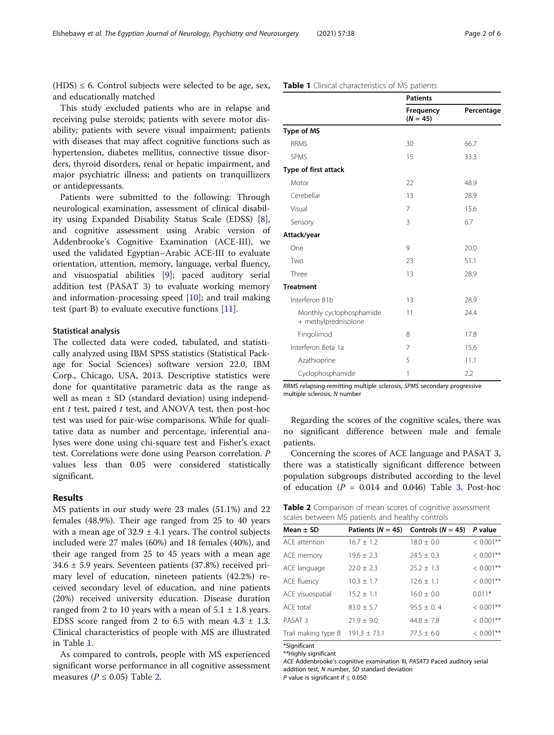$(HDS) \leq 6$ . Control subjects were selected to be age, sex, and educationally matched

This study excluded patients who are in relapse and receiving pulse steroids; patients with severe motor disability; patients with severe visual impairment; patients with diseases that may affect cognitive functions such as hypertension, diabetes mellitus, connective tissue disorders, thyroid disorders, renal or hepatic impairment, and major psychiatric illness; and patients on tranquillizers or antidepressants.

Patients were submitted to the following: Through neurological examination, assessment of clinical disability using Expanded Disability Status Scale (EDSS) [\[8](#page-5-0)], and cognitive assessment using Arabic version of Addenbrooke's Cognitive Examination (ACE-III), we used the validated Egyptian–Arabic ACE-III to evaluate orientation, attention, memory, language, verbal fluency, and visuospatial abilities [\[9](#page-5-0)]; paced auditory serial addition test (PASAT 3) to evaluate working memory and information-processing speed  $[10]$  $[10]$ ; and trail making test (part B) to evaluate executive functions [[11\]](#page-5-0).

#### Statistical analysis

The collected data were coded, tabulated, and statistically analyzed using IBM SPSS statistics (Statistical Package for Social Sciences) software version 22.0, IBM Corp., Chicago, USA, 2013. Descriptive statistics were done for quantitative parametric data as the range as well as mean  $\pm$  SD (standard deviation) using independent  $t$  test, paired  $t$  test, and ANOVA test, then post-hoc test was used for pair-wise comparisons. While for qualitative data as number and percentage, inferential analyses were done using chi-square test and Fisher's exact test. Correlations were done using Pearson correlation. P values less than 0.05 were considered statistically significant.

#### Results

MS patients in our study were 23 males (51.1%) and 22 females (48.9%). Their age ranged from 25 to 40 years with a mean age of  $32.9 \pm 4.1$  years. The control subjects included were 27 males (60%) and 18 females (40%), and their age ranged from 25 to 45 years with a mean age  $34.6 \pm 5.9$  years. Seventeen patients (37.8%) received primary level of education, nineteen patients (42.2%) received secondary level of education, and nine patients (20%) received university education. Disease duration ranged from 2 to 10 years with a mean of  $5.1 \pm 1.8$  years. EDSS score ranged from 2 to 6.5 with mean  $4.3 \pm 1.3$ . Clinical characteristics of people with MS are illustrated in Table 1.

As compared to controls, people with MS experienced significant worse performance in all cognitive assessment measures ( $P \leq 0.05$ ) Table 2.

|                                                  | <b>Patients</b>         |            |
|--------------------------------------------------|-------------------------|------------|
|                                                  | Frequency<br>$(N = 45)$ | Percentage |
| Type of MS                                       |                         |            |
| <b>RRMS</b>                                      | 30                      | 66.7       |
| <b>SPMS</b>                                      | 15                      | 33.3       |
| Type of first attack                             |                         |            |
| Motor                                            | 22                      | 48.9       |
| Cerebellar                                       | 13                      | 28.9       |
| Visual                                           | 7                       | 15.6       |
| Sensory                                          | 3                       | 6.7        |
| Attack/year                                      |                         |            |
| One                                              | 9                       | 20.0       |
| Two                                              | 23                      | 51.1       |
| Three                                            | 13                      | 28.9       |
| <b>Treatment</b>                                 |                         |            |
| Interferon B1b                                   | 13                      | 28.9       |
| Monthly cyclophosphamide<br>+ methylprednisolone | 11                      | 24.4       |
| Fingolimod                                       | 8                       | 17.8       |
| Interferon Beta 1a                               | 7                       | 15.6       |
| Azathioprine                                     | 5                       | 11.1       |
| Cyclophosphamide                                 | 1                       | 2.2        |

Table 1 Clinical characteristics of MS patients

RRMS relapsing-remitting multiple sclerosis, SPMS secondary progressive multiple sclerosis, N number

Regarding the scores of the cognitive scales, there was no significant difference between male and female patients.

Concerning the scores of ACE language and PASAT 3, there was a statistically significant difference between population subgroups distributed according to the level of education ( $P = 0.014$  and 0.046) Table [3.](#page-2-0) Post-hoc

Table 2 Comparison of mean scores of cognitive assessment scales between MS patients and healthy controls

| searcs weer, commissioned and meaning commons |                  |                                             |              |  |  |  |  |
|-----------------------------------------------|------------------|---------------------------------------------|--------------|--|--|--|--|
| Mean $\pm$ SD                                 |                  | Patients ( $N = 45$ ) Controls ( $N = 45$ ) | P value      |  |  |  |  |
| ACE attention                                 | $16.7 \pm 1.2$   | $18.0 \pm 0.0$                              | $< 0.001$ ** |  |  |  |  |
| ACE memory                                    | $19.6 \pm 2.3$   | $24.5 \pm 0.3$                              | $< 0.001$ ** |  |  |  |  |
| ACE language                                  | $22.0 \pm 2.3$   | $25.2 \pm 1.3$                              | $< 0.001**$  |  |  |  |  |
| ACE fluency                                   | $10.3 \pm 1.7$   | $12.6 \pm 1.1$                              | $< 0.001$ ** |  |  |  |  |
| ACE visuospatial                              | $15.2 \pm 1.1$   | $16.0 \pm 0.0$                              | $0.011*$     |  |  |  |  |
| ACE total                                     | $83.0 \pm 5.7$   | $95.5 \pm 0.4$                              | $< 0.001$ ** |  |  |  |  |
| PASAT <sub>3</sub>                            | $21.9 \pm 9.0$   | $44.8 \pm 7.8$                              | $< 0.001**$  |  |  |  |  |
| Trail making type B                           | $191.3 \pm 73.1$ | $77.5 \pm 6.0$                              | $< 0.001**$  |  |  |  |  |
|                                               |                  |                                             |              |  |  |  |  |

\*Significant

\*\*Highly significant

ACE Addenbrooke's cognitive examination III, PASAT3 Paced auditory serial addition test, N number, SD standard deviation

P value is significant if  $\leq 0.050$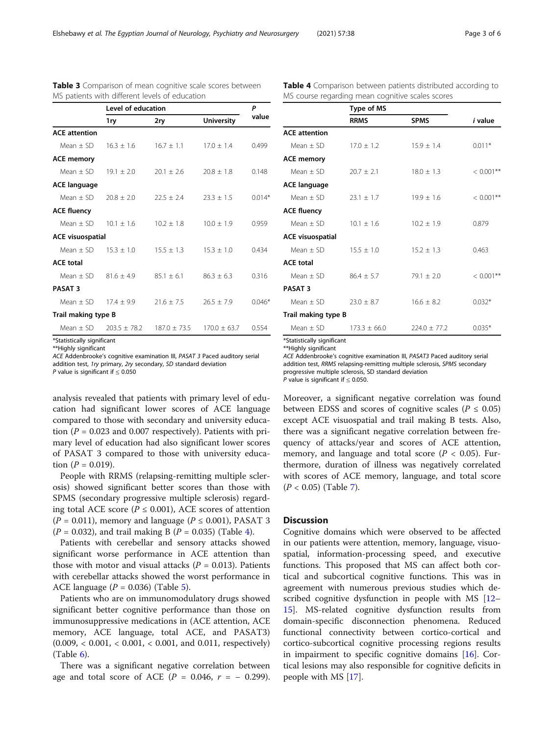| Page 3 of 6 |  |  |
|-------------|--|--|
|             |  |  |

|                         | Level of education |                |                   | Р        |
|-------------------------|--------------------|----------------|-------------------|----------|
|                         | 1ry                | 2ry            | <b>University</b> | value    |
| <b>ACE attention</b>    |                    |                |                   |          |
| $Mean + SD$             | $16.3 + 1.6$       | $16.7 \pm 1.1$ | $17.0 + 1.4$      | 0.499    |
| <b>ACE memory</b>       |                    |                |                   |          |
| $Mean + SD$             | $19.1 + 2.0$       | $20.1 + 2.6$   | $20.8 + 1.8$      | 0.148    |
| <b>ACE language</b>     |                    |                |                   |          |
| $Mean + SD$             | $70.8 + 2.0$       | $22.5 + 2.4$   | $23.3 + 1.5$      | $0.014*$ |
| <b>ACE fluency</b>      |                    |                |                   |          |
| $Mean + SD$             | $10.1 + 1.6$       | $10.2 + 1.8$   | $10.0 + 1.9$      | 0.959    |
| <b>ACE visuospatial</b> |                    |                |                   |          |
| $Mean + SD$             | $15.3 + 1.0$       | $15.5 \pm 1.3$ | $15.3 \pm 1.0$    | 0.434    |
| <b>ACE total</b>        |                    |                |                   |          |
| $Mean + SD$             | $81.6 + 4.9$       | $85.1 + 6.1$   | $86.3 + 6.3$      | 0.316    |
| <b>PASAT 3</b>          |                    |                |                   |          |
| $Mean + SD$             | $17.4 + 9.9$       | $21.6 + 7.5$   | $76.5 + 7.9$      | $0.046*$ |
| Trail making type B     |                    |                |                   |          |
| Mean $+$ SD             | $203.5 + 78.2$     | $187.0 + 73.5$ | $170.0 + 63.7$    | 0.554    |

<span id="page-2-0"></span>Table 3 Comparison of mean cognitive scale scores between MS patients with different levels of education

\*Statistically significant \*\*Highly significant

ACE Addenbrooke's cognitive examination III, PASAT 3 Paced auditory serial

addition test, 1ry primary, 2ry secondary, SD standard deviation P value is significant if  $\leq 0.050$ 

analysis revealed that patients with primary level of education had significant lower scores of ACE language compared to those with secondary and university education ( $P = 0.023$  and 0.007 respectively). Patients with primary level of education had also significant lower scores of PASAT 3 compared to those with university education ( $P = 0.019$ ).

People with RRMS (relapsing-remitting multiple sclerosis) showed significant better scores than those with SPMS (secondary progressive multiple sclerosis) regarding total ACE score ( $P \le 0.001$ ), ACE scores of attention  $(P = 0.011)$ , memory and language  $(P \le 0.001)$ , PASAT 3  $(P = 0.032)$ , and trail making B  $(P = 0.035)$  (Table 4).

Patients with cerebellar and sensory attacks showed significant worse performance in ACE attention than those with motor and visual attacks  $(P = 0.013)$ . Patients with cerebellar attacks showed the worst performance in ACE language ( $P = 0.036$ ) (Table [5\)](#page-3-0).

Patients who are on immunomodulatory drugs showed significant better cognitive performance than those on immunosuppressive medications in (ACE attention, ACE memory, ACE language, total ACE, and PASAT3)  $(0.009, < 0.001, < 0.001, < 0.001, \text{ and } 0.011, \text{ respectively})$  $(Table 6)$  $(Table 6)$ .

There was a significant negative correlation between age and total score of ACE ( $P = 0.046$ ,  $r = -0.299$ ).

| <b>Table 4</b> Comparison between patients distributed according to |  |  |  |
|---------------------------------------------------------------------|--|--|--|
| MS course regarding mean cognitive scales scores                    |  |  |  |

|                         | Type of MS     |                |                |  |
|-------------------------|----------------|----------------|----------------|--|
|                         | <b>RRMS</b>    | <b>SPMS</b>    | <i>i</i> value |  |
| <b>ACE</b> attention    |                |                |                |  |
| Mean $+$ SD             | $17.0 + 1.2$   | $15.9 + 1.4$   | $0.011*$       |  |
| <b>ACE memory</b>       |                |                |                |  |
| Mean $+$ SD             | $20.7 \pm 2.1$ | $18.0 \pm 1.3$ | $< 0.001**$    |  |
| <b>ACE language</b>     |                |                |                |  |
| Mean $+$ SD             | $23.1 + 1.7$   | $19.9 + 1.6$   | $< 0.001$ **   |  |
| <b>ACE fluency</b>      |                |                |                |  |
| Mean $+$ SD             | $10.1 \pm 1.6$ | $10.2 + 1.9$   | 0.879          |  |
| <b>ACE visuospatial</b> |                |                |                |  |
| Mean $+$ SD             | $15.5 + 1.0$   | $15.2 + 1.3$   | 0.463          |  |
| <b>ACE total</b>        |                |                |                |  |
| Mean $+$ SD             | $86.4 \pm 5.7$ | $79.1 + 2.0$   | $< 0.001$ **   |  |
| <b>PASAT 3</b>          |                |                |                |  |
| $Mean + SD$             | $23.0 + 8.7$   | $16.6 \pm 8.2$ | $0.032*$       |  |
| Trail making type B     |                |                |                |  |
| Mean $+$ SD             | $173.3 + 66.0$ | $774.0 + 77.2$ | $0.035*$       |  |

\*Statistically significant

\*\*Highly significant

ACE Addenbrooke's cognitive examination III, PASAT3 Paced auditory serial addition test, RRMS relapsing-remitting multiple sclerosis, SPMS secondary progressive multiple sclerosis, SD standard deviation P value is significant if < 0.050.

Moreover, a significant negative correlation was found between EDSS and scores of cognitive scales ( $P \le 0.05$ ) except ACE visuospatial and trail making B tests. Also, there was a significant negative correlation between frequency of attacks/year and scores of ACE attention, memory, and language and total score ( $P < 0.05$ ). Furthermore, duration of illness was negatively correlated with scores of ACE memory, language, and total score  $(P < 0.05)$  (Table [7\)](#page-4-0).

#### **Discussion**

Cognitive domains which were observed to be affected in our patients were attention, memory, language, visuospatial, information-processing speed, and executive functions. This proposed that MS can affect both cortical and subcortical cognitive functions. This was in agreement with numerous previous studies which described cognitive dysfunction in people with MS [[12](#page-5-0)– [15\]](#page-5-0). MS-related cognitive dysfunction results from domain-specific disconnection phenomena. Reduced functional connectivity between cortico-cortical and cortico-subcortical cognitive processing regions results in impairment to specific cognitive domains [\[16\]](#page-5-0). Cortical lesions may also responsible for cognitive deficits in people with MS [[17](#page-5-0)].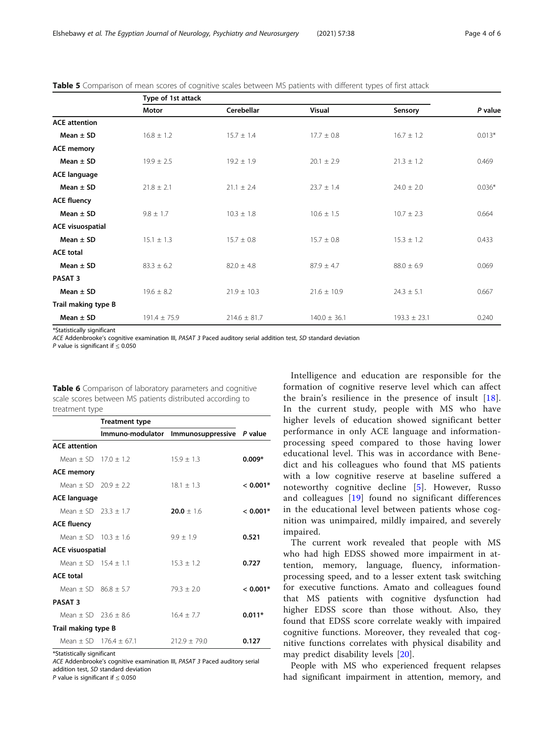|                         | Type of 1st attack |                  |                  |                  |          |
|-------------------------|--------------------|------------------|------------------|------------------|----------|
|                         | Motor              | Cerebellar       | <b>Visual</b>    | Sensory          | P value  |
| <b>ACE</b> attention    |                    |                  |                  |                  |          |
| Mean $\pm$ SD           | $16.8 \pm 1.2$     | $15.7 \pm 1.4$   | $17.7 \pm 0.8$   | $16.7 \pm 1.2$   | $0.013*$ |
| <b>ACE memory</b>       |                    |                  |                  |                  |          |
| Mean $\pm$ SD           | $19.9 \pm 2.5$     | $19.2 \pm 1.9$   | $20.1 \pm 2.9$   | $21.3 \pm 1.2$   | 0.469    |
| <b>ACE language</b>     |                    |                  |                  |                  |          |
| Mean $\pm$ SD           | $21.8 \pm 2.1$     | $21.1 \pm 2.4$   | $23.7 \pm 1.4$   | $24.0 \pm 2.0$   | $0.036*$ |
| <b>ACE fluency</b>      |                    |                  |                  |                  |          |
| Mean $\pm$ SD           | $9.8 \pm 1.7$      | $10.3 \pm 1.8$   | $10.6 \pm 1.5$   | $10.7 \pm 2.3$   | 0.664    |
| <b>ACE visuospatial</b> |                    |                  |                  |                  |          |
| Mean $\pm$ SD           | $15.1 \pm 1.3$     | $15.7 \pm 0.8$   | $15.7 \pm 0.8$   | $15.3 \pm 1.2$   | 0.433    |
| <b>ACE total</b>        |                    |                  |                  |                  |          |
| Mean $\pm$ SD           | $83.3 \pm 6.2$     | $82.0 \pm 4.8$   | $87.9 \pm 4.7$   | $88.0 \pm 6.9$   | 0.069    |
| <b>PASAT 3</b>          |                    |                  |                  |                  |          |
| Mean $\pm$ SD           | $19.6 \pm 8.2$     | $21.9 \pm 10.3$  | $21.6 \pm 10.9$  | $24.3 \pm 5.1$   | 0.667    |
| Trail making type B     |                    |                  |                  |                  |          |
| Mean $\pm$ SD           | $191.4 \pm 75.9$   | $214.6 \pm 81.7$ | $140.0 \pm 36.1$ | $193.3 \pm 23.1$ | 0.240    |

<span id="page-3-0"></span>Table 5 Comparison of mean scores of cognitive scales between MS patients with different types of first attack

\*Statistically significant

ACE Addenbrooke's cognitive examination III, PASAT 3 Paced auditory serial addition test, SD standard deviation

P value is significant if < 0.050

| Table 6 Comparison of laboratory parameters and cognitive |
|-----------------------------------------------------------|
| scale scores between MS patients distributed according to |
| treatment type                                            |

|                              | <b>Treatment type</b>    |                           |            |
|------------------------------|--------------------------|---------------------------|------------|
|                              | Immuno-modulator         | Immunosuppressive P value |            |
| <b>ACE</b> attention         |                          |                           |            |
| Mean + SD $170 + 12$         |                          | $15.9 + 1.3$              | $0.009*$   |
| <b>ACE memory</b>            |                          |                           |            |
| Mean + SD $20.9 + 2.2$       |                          | $18.1 + 1.3$              | $< 0.001*$ |
| <b>ACE language</b>          |                          |                           |            |
| Mean + SD $23.3 + 1.7$       |                          | $20.0 + 1.6$              | $< 0.001*$ |
| <b>ACE fluency</b>           |                          |                           |            |
| Mean + SD $10.3 + 1.6$       |                          | $9.9 + 1.9$               | 0.521      |
| <b>ACE visuospatial</b>      |                          |                           |            |
| Mean + SD $15.4 + 1.1$       |                          | $15.3 + 1.2$              | 0.727      |
| <b>ACE total</b>             |                          |                           |            |
| Mean + SD $86.8 + 5.7$       |                          | $79.3 + 2.0$              | $< 0.001*$ |
| <b>PASAT 3</b>               |                          |                           |            |
| Mean $\pm$ SD 23.6 $\pm$ 8.6 |                          | $16.4 \pm 7.7$            | $0.011*$   |
| Trail making type B          |                          |                           |            |
|                              | Mean + SD $176.4 + 67.1$ | $712.9 + 79.0$            | 0.127      |

\*Statistically significant

ACE Addenbrooke's cognitive examination III, PASAT 3 Paced auditory serial addition test, SD standard deviation

P value is significant if  $\leq 0.050$ 

Intelligence and education are responsible for the formation of cognitive reserve level which can affect the brain's resilience in the presence of insult [[18](#page-5-0)]. In the current study, people with MS who have higher levels of education showed significant better performance in only ACE language and informationprocessing speed compared to those having lower educational level. This was in accordance with Benedict and his colleagues who found that MS patients with a low cognitive reserve at baseline suffered a noteworthy cognitive decline [[5\]](#page-5-0). However, Russo and colleagues [[19](#page-5-0)] found no significant differences in the educational level between patients whose cognition was unimpaired, mildly impaired, and severely impaired.

The current work revealed that people with MS who had high EDSS showed more impairment in attention, memory, language, fluency, informationprocessing speed, and to a lesser extent task switching for executive functions. Amato and colleagues found that MS patients with cognitive dysfunction had higher EDSS score than those without. Also, they found that EDSS score correlate weakly with impaired cognitive functions. Moreover, they revealed that cognitive functions correlates with physical disability and may predict disability levels [\[20](#page-5-0)].

People with MS who experienced frequent relapses had significant impairment in attention, memory, and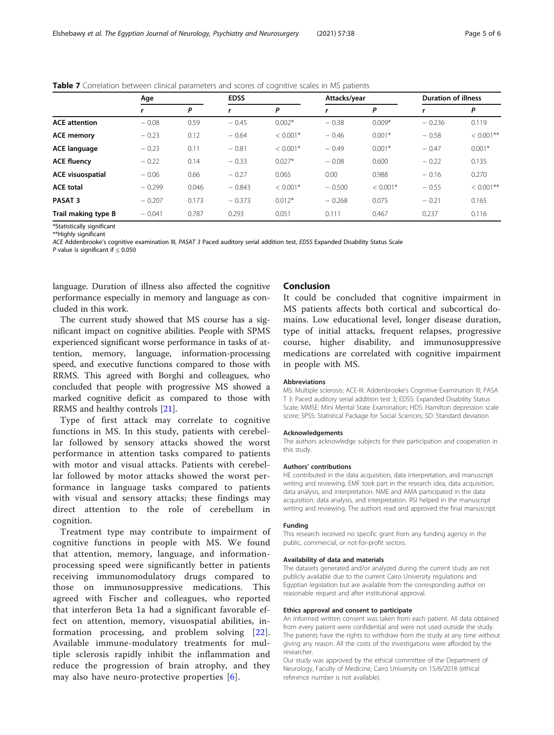|                         | Age      |       | <b>EDSS</b> |            |          | Attacks/year |          | <b>Duration of illness</b> |  |
|-------------------------|----------|-------|-------------|------------|----------|--------------|----------|----------------------------|--|
|                         |          | P     |             | P          |          | P            |          | P                          |  |
| <b>ACE</b> attention    | $-0.08$  | 0.59  | $-0.45$     | $0.002*$   | $-0.38$  | $0.009*$     | $-0.236$ | 0.119                      |  |
| <b>ACE memory</b>       | $-0.23$  | 0.12  | $-0.64$     | $< 0.001*$ | $-0.46$  | $0.001*$     | $-0.58$  | $< 0.001$ **               |  |
| <b>ACE language</b>     | $-0.23$  | 0.11  | $-0.81$     | $< 0.001*$ | $-0.49$  | $0.001*$     | $-0.47$  | $0.001*$                   |  |
| <b>ACE fluency</b>      | $-0.22$  | 0.14  | $-0.33$     | $0.027*$   | $-0.08$  | 0.600        | $-0.22$  | 0.135                      |  |
| <b>ACE visuospatial</b> | $-0.06$  | 0.66  | $-0.27$     | 0.065      | 0.00     | 0.988        | $-0.16$  | 0.270                      |  |
| <b>ACE total</b>        | $-0.299$ | 0.046 | $-0.843$    | $< 0.001*$ | $-0.500$ | $< 0.001*$   | $-0.55$  | $< 0.001$ **               |  |
| PASAT <sub>3</sub>      | $-0.207$ | 0.173 | $-0.373$    | $0.012*$   | $-0.268$ | 0.075        | $-0.21$  | 0.165                      |  |
| Trail making type B     | $-0.041$ | 0.787 | 0.293       | 0.051      | 0.111    | 0.467        | 0.237    | 0.116                      |  |

<span id="page-4-0"></span>Table 7 Correlation between clinical parameters and scores of cognitive scales in MS patients

\*Statistically significant \*\*Highly significant

ACE Addenbrooke's cognitive examination III, PASAT 3 Paced auditory serial addition test, EDSS Expanded Disability Status Scale

P value is significant if  $\leq 0.050$ 

language. Duration of illness also affected the cognitive performance especially in memory and language as concluded in this work.

The current study showed that MS course has a significant impact on cognitive abilities. People with SPMS experienced significant worse performance in tasks of attention, memory, language, information-processing speed, and executive functions compared to those with RRMS. This agreed with Borghi and colleagues, who concluded that people with progressive MS showed a marked cognitive deficit as compared to those with RRMS and healthy controls [[21](#page-5-0)].

Type of first attack may correlate to cognitive functions in MS. In this study, patients with cerebellar followed by sensory attacks showed the worst performance in attention tasks compared to patients with motor and visual attacks. Patients with cerebellar followed by motor attacks showed the worst performance in language tasks compared to patients with visual and sensory attacks; these findings may direct attention to the role of cerebellum in cognition.

Treatment type may contribute to impairment of cognitive functions in people with MS. We found that attention, memory, language, and informationprocessing speed were significantly better in patients receiving immunomodulatory drugs compared to those on immunosuppressive medications. This agreed with Fischer and colleagues, who reported that interferon Beta 1a had a significant favorable effect on attention, memory, visuospatial abilities, information processing, and problem solving [[22](#page-5-0)]. Available immune-modulatory treatments for multiple sclerosis rapidly inhibit the inflammation and reduce the progression of brain atrophy, and they may also have neuro-protective properties [\[6\]](#page-5-0).

#### Conclusion

It could be concluded that cognitive impairment in MS patients affects both cortical and subcortical domains. Low educational level, longer disease duration, type of initial attacks, frequent relapses, progressive course, higher disability, and immunosuppressive medications are correlated with cognitive impairment in people with MS.

#### Abbreviations

MS: Multiple sclerosis; ACE-III: Addenbrooke's Cognitive Examination III; PASA T 3: Paced auditory serial addition test 3; EDSS: Expanded Disability Status Scale; MMSE: Mini Mental State Examination; HDS: Hamilton depression scale score; SPSS: Statistical Package for Social Sciences; SD: Standard deviation

#### Acknowledgements

The authors acknowledge subjects for their participation and cooperation in this study.

#### Authors' contributions

HE contributed in the data acquisition, data interpretation, and manuscript writing and reviewing. EMF took part in the research idea, data acquisition, data analysis, and interpretation. NME and AMA participated in the data acquisition, data analysis, and interpretation. RSI helped in the manuscript writing and reviewing. The authors read and approved the final manuscript.

#### Funding

This research received no specific grant from any funding agency in the public, commercial, or not-for-profit sectors.

#### Availability of data and materials

The datasets generated and/or analyzed during the current study are not publicly available due to the current Cairo University regulations and Egyptian legislation but are available from the corresponding author on reasonable request and after institutional approval.

#### Ethics approval and consent to participate

An informed written consent was taken from each patient. All data obtained from every patient were confidential and were not used outside the study. The patients have the rights to withdraw from the study at any time without giving any reason. All the costs of the investigations were afforded by the researcher.

Our study was approved by the ethical committee of the Department of Neurology, Faculty of Medicine, Cairo University on 15/6/2018 (ethical reference number is not available).